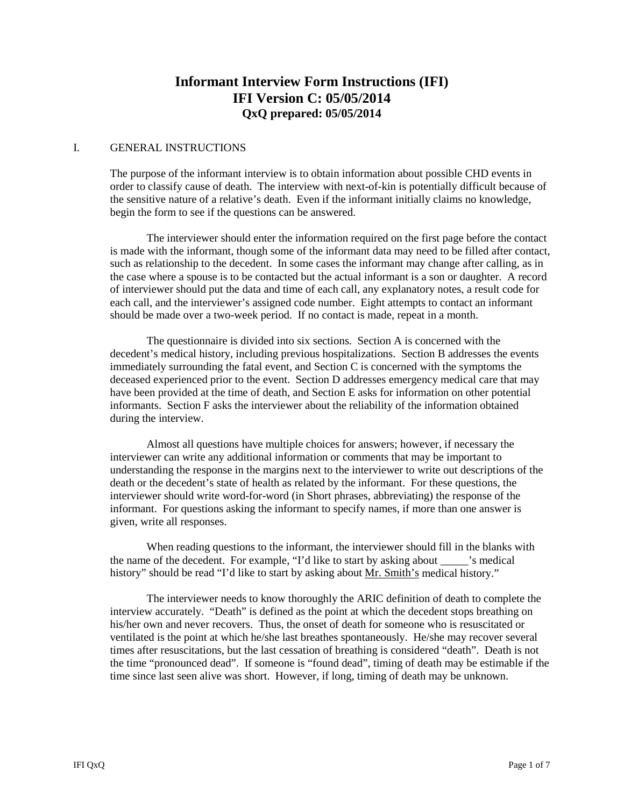# **Informant Interview Form Instructions (IFI) IFI Version C: 05/05/2014 QxQ prepared: 05/05/2014**

#### I. GENERAL INSTRUCTIONS

The purpose of the informant interview is to obtain information about possible CHD events in order to classify cause of death. The interview with next-of-kin is potentially difficult because of the sensitive nature of a relative's death. Even if the informant initially claims no knowledge, begin the form to see if the questions can be answered.

The interviewer should enter the information required on the first page before the contact is made with the informant, though some of the informant data may need to be filled after contact, such as relationship to the decedent. In some cases the informant may change after calling, as in the case where a spouse is to be contacted but the actual informant is a son or daughter. A record of interviewer should put the data and time of each call, any explanatory notes, a result code for each call, and the interviewer's assigned code number. Eight attempts to contact an informant should be made over a two-week period. If no contact is made, repeat in a month.

The questionnaire is divided into six sections. Section A is concerned with the decedent's medical history, including previous hospitalizations. Section B addresses the events immediately surrounding the fatal event, and Section C is concerned with the symptoms the deceased experienced prior to the event. Section D addresses emergency medical care that may have been provided at the time of death, and Section E asks for information on other potential informants. Section F asks the interviewer about the reliability of the information obtained during the interview.

Almost all questions have multiple choices for answers; however, if necessary the interviewer can write any additional information or comments that may be important to understanding the response in the margins next to the interviewer to write out descriptions of the death or the decedent's state of health as related by the informant. For these questions, the interviewer should write word-for-word (in Short phrases, abbreviating) the response of the informant. For questions asking the informant to specify names, if more than one answer is given, write all responses.

When reading questions to the informant, the interviewer should fill in the blanks with the name of the decedent. For example, "I'd like to start by asking about \_\_\_\_\_'s medical history" should be read "I'd like to start by asking about Mr. Smith's medical history."

The interviewer needs to know thoroughly the ARIC definition of death to complete the interview accurately. "Death" is defined as the point at which the decedent stops breathing on his/her own and never recovers. Thus, the onset of death for someone who is resuscitated or ventilated is the point at which he/she last breathes spontaneously. He/she may recover several times after resuscitations, but the last cessation of breathing is considered "death". Death is not the time "pronounced dead". If someone is "found dead", timing of death may be estimable if the time since last seen alive was short. However, if long, timing of death may be unknown.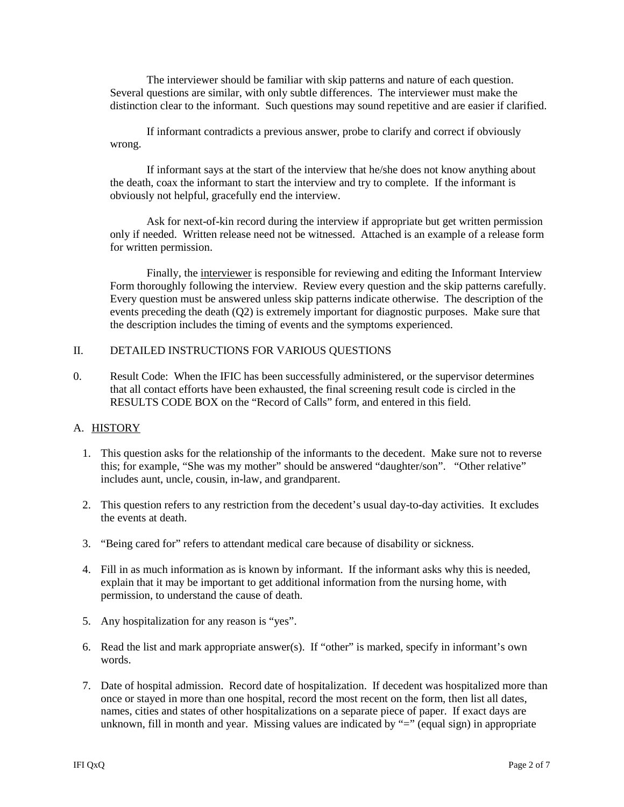The interviewer should be familiar with skip patterns and nature of each question. Several questions are similar, with only subtle differences. The interviewer must make the distinction clear to the informant. Such questions may sound repetitive and are easier if clarified.

If informant contradicts a previous answer, probe to clarify and correct if obviously wrong.

If informant says at the start of the interview that he/she does not know anything about the death, coax the informant to start the interview and try to complete. If the informant is obviously not helpful, gracefully end the interview.

Ask for next-of-kin record during the interview if appropriate but get written permission only if needed. Written release need not be witnessed. Attached is an example of a release form for written permission.

Finally, the interviewer is responsible for reviewing and editing the Informant Interview Form thoroughly following the interview. Review every question and the skip patterns carefully. Every question must be answered unless skip patterns indicate otherwise. The description of the events preceding the death (Q2) is extremely important for diagnostic purposes. Make sure that the description includes the timing of events and the symptoms experienced.

### II. DETAILED INSTRUCTIONS FOR VARIOUS QUESTIONS

0. Result Code: When the IFIC has been successfully administered, or the supervisor determines that all contact efforts have been exhausted, the final screening result code is circled in the RESULTS CODE BOX on the "Record of Calls" form, and entered in this field.

### A. HISTORY

- 1. This question asks for the relationship of the informants to the decedent. Make sure not to reverse this; for example, "She was my mother" should be answered "daughter/son". "Other relative" includes aunt, uncle, cousin, in-law, and grandparent.
- 2. This question refers to any restriction from the decedent's usual day-to-day activities. It excludes the events at death.
- 3. "Being cared for" refers to attendant medical care because of disability or sickness.
- 4. Fill in as much information as is known by informant. If the informant asks why this is needed, explain that it may be important to get additional information from the nursing home, with permission, to understand the cause of death.
- 5. Any hospitalization for any reason is "yes".
- 6. Read the list and mark appropriate answer(s). If "other" is marked, specify in informant's own words.
- 7. Date of hospital admission. Record date of hospitalization. If decedent was hospitalized more than once or stayed in more than one hospital, record the most recent on the form, then list all dates, names, cities and states of other hospitalizations on a separate piece of paper. If exact days are unknown, fill in month and year. Missing values are indicated by "=" (equal sign) in appropriate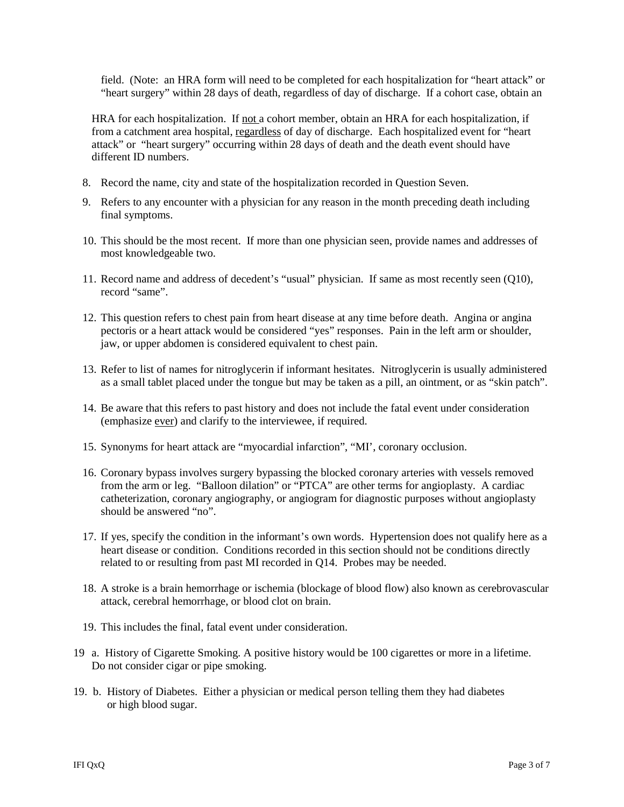field. (Note: an HRA form will need to be completed for each hospitalization for "heart attack" or "heart surgery" within 28 days of death, regardless of day of discharge. If a cohort case, obtain an

HRA for each hospitalization. If not a cohort member, obtain an HRA for each hospitalization, if from a catchment area hospital, regardless of day of discharge. Each hospitalized event for "heart attack" or "heart surgery" occurring within 28 days of death and the death event should have different ID numbers.

- 8. Record the name, city and state of the hospitalization recorded in Question Seven.
- 9. Refers to any encounter with a physician for any reason in the month preceding death including final symptoms.
- 10. This should be the most recent. If more than one physician seen, provide names and addresses of most knowledgeable two.
- 11. Record name and address of decedent's "usual" physician. If same as most recently seen (Q10), record "same".
- 12. This question refers to chest pain from heart disease at any time before death. Angina or angina pectoris or a heart attack would be considered "yes" responses. Pain in the left arm or shoulder, jaw, or upper abdomen is considered equivalent to chest pain.
- 13. Refer to list of names for nitroglycerin if informant hesitates. Nitroglycerin is usually administered as a small tablet placed under the tongue but may be taken as a pill, an ointment, or as "skin patch".
- 14. Be aware that this refers to past history and does not include the fatal event under consideration (emphasize ever) and clarify to the interviewee, if required.
- 15. Synonyms for heart attack are "myocardial infarction", "MI', coronary occlusion.
- 16. Coronary bypass involves surgery bypassing the blocked coronary arteries with vessels removed from the arm or leg. "Balloon dilation" or "PTCA" are other terms for angioplasty. A cardiac catheterization, coronary angiography, or angiogram for diagnostic purposes without angioplasty should be answered "no".
- 17. If yes, specify the condition in the informant's own words. Hypertension does not qualify here as a heart disease or condition. Conditions recorded in this section should not be conditions directly related to or resulting from past MI recorded in Q14. Probes may be needed.
- 18. A stroke is a brain hemorrhage or ischemia (blockage of blood flow) also known as cerebrovascular attack, cerebral hemorrhage, or blood clot on brain.
- 19. This includes the final, fatal event under consideration.
- 19 a. History of Cigarette Smoking. A positive history would be 100 cigarettes or more in a lifetime. Do not consider cigar or pipe smoking.
- 19. b. History of Diabetes. Either a physician or medical person telling them they had diabetes or high blood sugar.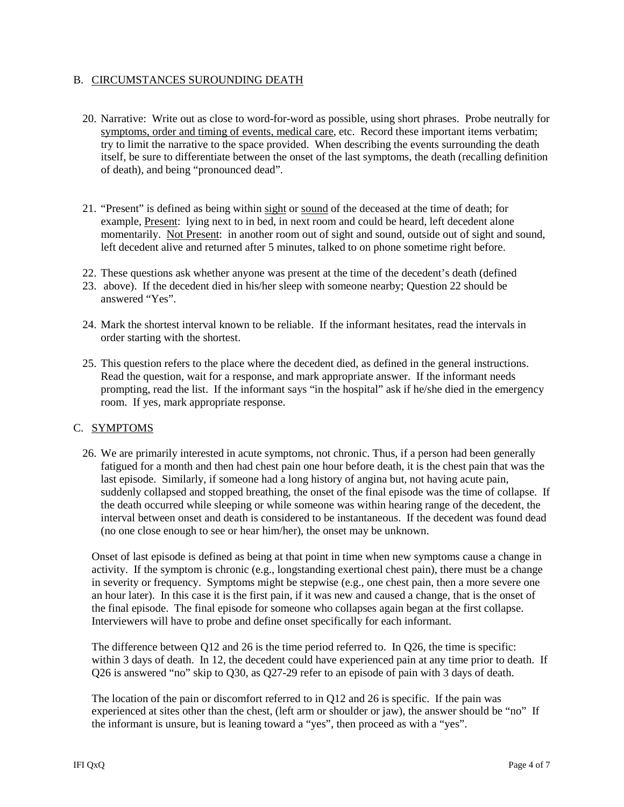## B. CIRCUMSTANCES SUROUNDING DEATH

- 20. Narrative: Write out as close to word-for-word as possible, using short phrases. Probe neutrally for symptoms, order and timing of events, medical care, etc. Record these important items verbatim; try to limit the narrative to the space provided. When describing the events surrounding the death itself, be sure to differentiate between the onset of the last symptoms, the death (recalling definition of death), and being "pronounced dead".
- 21. "Present" is defined as being within sight or sound of the deceased at the time of death; for example, Present: lying next to in bed, in next room and could be heard, left decedent alone momentarily. Not Present: in another room out of sight and sound, outside out of sight and sound, left decedent alive and returned after 5 minutes, talked to on phone sometime right before.
- 22. These questions ask whether anyone was present at the time of the decedent's death (defined
- 23. above). If the decedent died in his/her sleep with someone nearby; Question 22 should be answered "Yes".
- 24. Mark the shortest interval known to be reliable. If the informant hesitates, read the intervals in order starting with the shortest.
- 25. This question refers to the place where the decedent died, as defined in the general instructions. Read the question, wait for a response, and mark appropriate answer. If the informant needs prompting, read the list. If the informant says "in the hospital" ask if he/she died in the emergency room. If yes, mark appropriate response.

### C. SYMPTOMS

26. We are primarily interested in acute symptoms, not chronic. Thus, if a person had been generally fatigued for a month and then had chest pain one hour before death, it is the chest pain that was the last episode. Similarly, if someone had a long history of angina but, not having acute pain, suddenly collapsed and stopped breathing, the onset of the final episode was the time of collapse. If the death occurred while sleeping or while someone was within hearing range of the decedent, the interval between onset and death is considered to be instantaneous. If the decedent was found dead (no one close enough to see or hear him/her), the onset may be unknown.

Onset of last episode is defined as being at that point in time when new symptoms cause a change in activity. If the symptom is chronic (e.g., longstanding exertional chest pain), there must be a change in severity or frequency. Symptoms might be stepwise (e.g., one chest pain, then a more severe one an hour later). In this case it is the first pain, if it was new and caused a change, that is the onset of the final episode. The final episode for someone who collapses again began at the first collapse. Interviewers will have to probe and define onset specifically for each informant.

The difference between Q12 and 26 is the time period referred to. In Q26, the time is specific: within 3 days of death. In 12, the decedent could have experienced pain at any time prior to death. If Q26 is answered "no" skip to Q30, as Q27-29 refer to an episode of pain with 3 days of death.

The location of the pain or discomfort referred to in Q12 and 26 is specific. If the pain was experienced at sites other than the chest, (left arm or shoulder or jaw), the answer should be "no" If the informant is unsure, but is leaning toward a "yes", then proceed as with a "yes".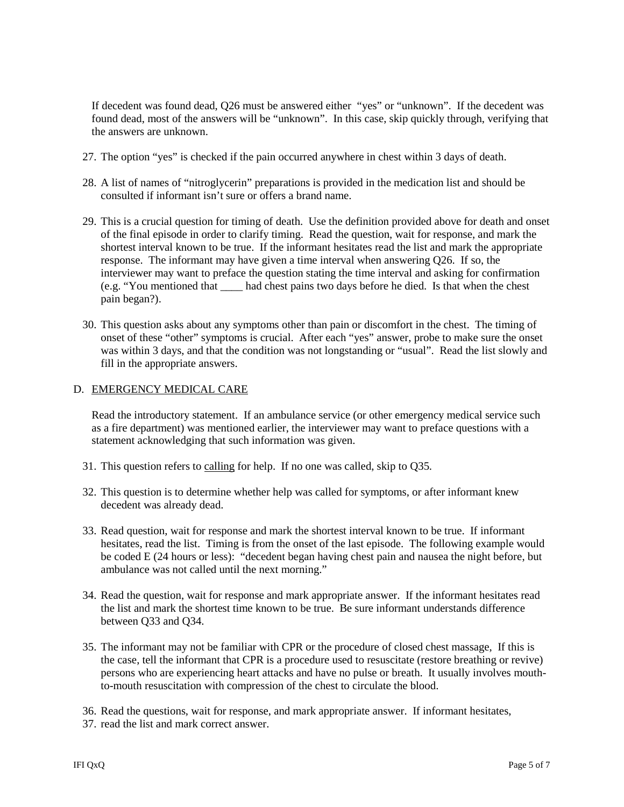If decedent was found dead, Q26 must be answered either "yes" or "unknown". If the decedent was found dead, most of the answers will be "unknown". In this case, skip quickly through, verifying that the answers are unknown.

- 27. The option "yes" is checked if the pain occurred anywhere in chest within 3 days of death.
- 28. A list of names of "nitroglycerin" preparations is provided in the medication list and should be consulted if informant isn't sure or offers a brand name.
- 29. This is a crucial question for timing of death. Use the definition provided above for death and onset of the final episode in order to clarify timing. Read the question, wait for response, and mark the shortest interval known to be true. If the informant hesitates read the list and mark the appropriate response. The informant may have given a time interval when answering Q26. If so, the interviewer may want to preface the question stating the time interval and asking for confirmation (e.g. "You mentioned that \_\_\_\_ had chest pains two days before he died. Is that when the chest pain began?).
- 30. This question asks about any symptoms other than pain or discomfort in the chest. The timing of onset of these "other" symptoms is crucial. After each "yes" answer, probe to make sure the onset was within 3 days, and that the condition was not longstanding or "usual". Read the list slowly and fill in the appropriate answers.

### D. EMERGENCY MEDICAL CARE

Read the introductory statement. If an ambulance service (or other emergency medical service such as a fire department) was mentioned earlier, the interviewer may want to preface questions with a statement acknowledging that such information was given.

- 31. This question refers to calling for help. If no one was called, skip to Q35.
- 32. This question is to determine whether help was called for symptoms, or after informant knew decedent was already dead.
- 33. Read question, wait for response and mark the shortest interval known to be true. If informant hesitates, read the list. Timing is from the onset of the last episode. The following example would be coded E (24 hours or less): "decedent began having chest pain and nausea the night before, but ambulance was not called until the next morning."
- 34. Read the question, wait for response and mark appropriate answer. If the informant hesitates read the list and mark the shortest time known to be true. Be sure informant understands difference between Q33 and Q34.
- 35. The informant may not be familiar with CPR or the procedure of closed chest massage, If this is the case, tell the informant that CPR is a procedure used to resuscitate (restore breathing or revive) persons who are experiencing heart attacks and have no pulse or breath. It usually involves mouthto-mouth resuscitation with compression of the chest to circulate the blood.
- 36. Read the questions, wait for response, and mark appropriate answer. If informant hesitates,
- 37. read the list and mark correct answer.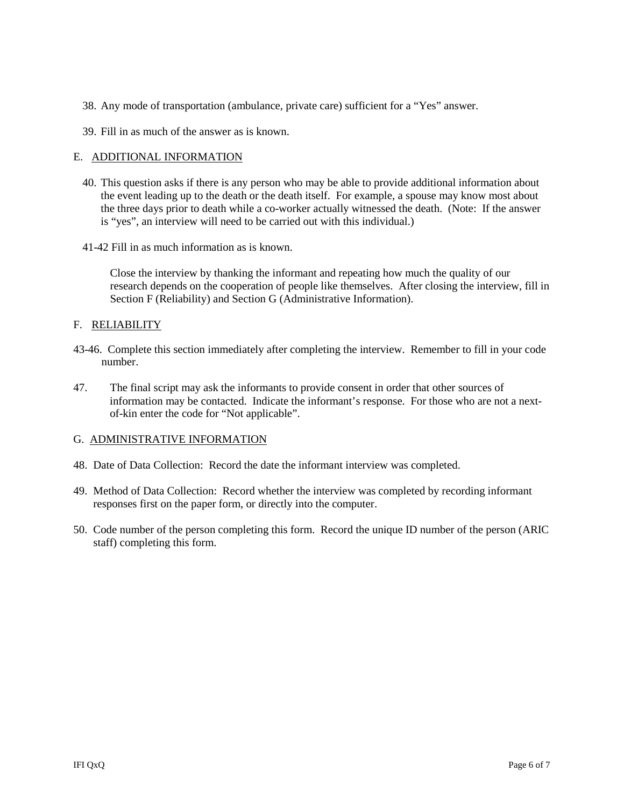- 38. Any mode of transportation (ambulance, private care) sufficient for a "Yes" answer.
- 39. Fill in as much of the answer as is known.

### E. ADDITIONAL INFORMATION

- 40. This question asks if there is any person who may be able to provide additional information about the event leading up to the death or the death itself. For example, a spouse may know most about the three days prior to death while a co-worker actually witnessed the death. (Note: If the answer is "yes", an interview will need to be carried out with this individual.)
- 41-42 Fill in as much information as is known.

Close the interview by thanking the informant and repeating how much the quality of our research depends on the cooperation of people like themselves. After closing the interview, fill in Section F (Reliability) and Section G (Administrative Information).

#### F. RELIABILITY

- 43-46. Complete this section immediately after completing the interview. Remember to fill in your code number.
- 47. The final script may ask the informants to provide consent in order that other sources of information may be contacted. Indicate the informant's response. For those who are not a next of-kin enter the code for "Not applicable".

#### G. ADMINISTRATIVE INFORMATION

- 48. Date of Data Collection: Record the date the informant interview was completed.
- 49. Method of Data Collection: Record whether the interview was completed by recording informant responses first on the paper form, or directly into the computer.
- 50. Code number of the person completing this form. Record the unique ID number of the person (ARIC staff) completing this form.